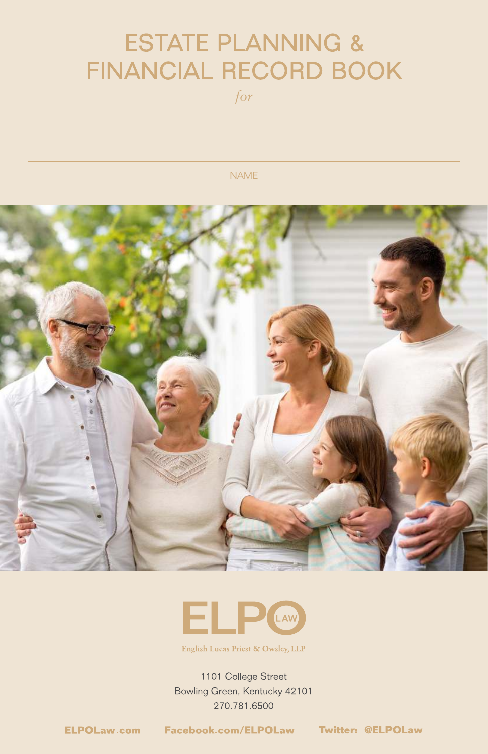## ESTATE PLANNING & FINANCIAL RECORD BOOK

*for*

NAME





English Lucas Priest & Owsley, LLP

1101 College Street Bowling Green, Kentucky 42101 270.781.6500

**1** *ELPOLaw.com* Facebook.com/ELPOLaw Twitter: @ELPOLaw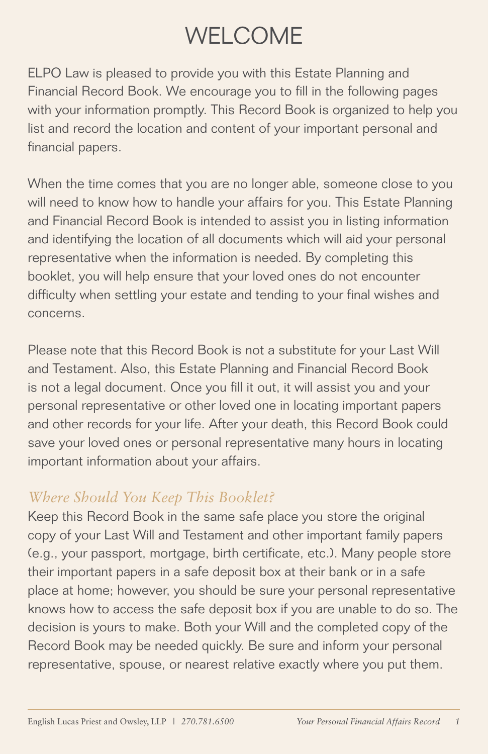## WELCOME

ELPO Law is pleased to provide you with this Estate Planning and Financial Record Book. We encourage you to fill in the following pages with your information promptly. This Record Book is organized to help you list and record the location and content of your important personal and financial papers.

When the time comes that you are no longer able, someone close to you will need to know how to handle your affairs for you. This Estate Planning and Financial Record Book is intended to assist you in listing information and identifying the location of all documents which will aid your personal representative when the information is needed. By completing this booklet, you will help ensure that your loved ones do not encounter difficulty when settling your estate and tending to your final wishes and concerns.

Please note that this Record Book is not a substitute for your Last Will and Testament. Also, this Estate Planning and Financial Record Book is not a legal document. Once you fill it out, it will assist you and your personal representative or other loved one in locating important papers and other records for your life. After your death, this Record Book could save your loved ones or personal representative many hours in locating important information about your affairs.

### *Where Should You Keep This Booklet?*

Keep this Record Book in the same safe place you store the original copy of your Last Will and Testament and other important family papers (e.g., your passport, mortgage, birth certificate, etc.). Many people store their important papers in a safe deposit box at their bank or in a safe place at home; however, you should be sure your personal representative knows how to access the safe deposit box if you are unable to do so. The decision is yours to make. Both your Will and the completed copy of the Record Book may be needed quickly. Be sure and inform your personal representative, spouse, or nearest relative exactly where you put them.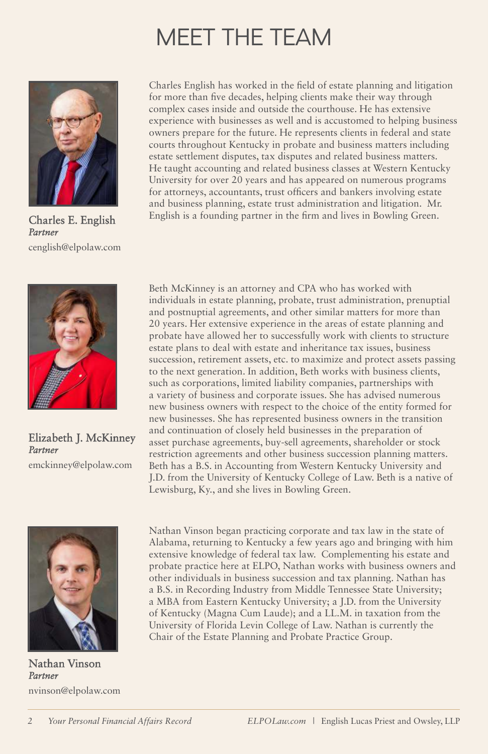## MEET THE TEAM



Charles E. English *Partner* cenglish@elpolaw.com



Elizabeth J. McKinney *Partner* emckinney@elpolaw.com



Nathan Vinson *Partner* nvinson@elpolaw.com

Charles English has worked in the field of estate planning and litigation for more than five decades, helping clients make their way through complex cases inside and outside the courthouse. He has extensive experience with businesses as well and is accustomed to helping business owners prepare for the future. He represents clients in federal and state courts throughout Kentucky in probate and business matters including estate settlement disputes, tax disputes and related business matters. He taught accounting and related business classes at Western Kentucky University for over 20 years and has appeared on numerous programs for attorneys, accountants, trust officers and bankers involving estate and business planning, estate trust administration and litigation. Mr. English is a founding partner in the firm and lives in Bowling Green.

Beth McKinney is an attorney and CPA who has worked with individuals in estate planning, probate, trust administration, prenuptial and postnuptial agreements, and other similar matters for more than 20 years. Her extensive experience in the areas of estate planning and probate have allowed her to successfully work with clients to structure estate plans to deal with estate and inheritance tax issues, business succession, retirement assets, etc. to maximize and protect assets passing to the next generation. In addition, Beth works with business clients, such as corporations, limited liability companies, partnerships with a variety of business and corporate issues. She has advised numerous new business owners with respect to the choice of the entity formed for new businesses. She has represented business owners in the transition and continuation of closely held businesses in the preparation of asset purchase agreements, buy-sell agreements, shareholder or stock restriction agreements and other business succession planning matters. Beth has a B.S. in Accounting from Western Kentucky University and J.D. from the University of Kentucky College of Law. Beth is a native of Lewisburg, Ky., and she lives in Bowling Green.

Nathan Vinson began practicing corporate and tax law in the state of Alabama, returning to Kentucky a few years ago and bringing with him extensive knowledge of federal tax law. Complementing his estate and probate practice here at ELPO, Nathan works with business owners and other individuals in business succession and tax planning. Nathan has a B.S. in Recording Industry from Middle Tennessee State University; a MBA from Eastern Kentucky University; a J.D. from the University of Kentucky (Magna Cum Laude); and a LL.M. in taxation from the University of Florida Levin College of Law. Nathan is currently the Chair of the Estate Planning and Probate Practice Group.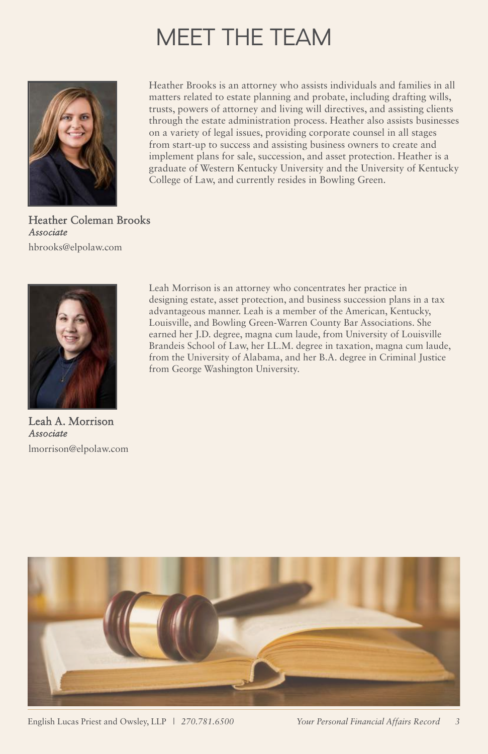## MEET THE TEAM



Heather Brooks is an attorney who assists individuals and families in all matters related to estate planning and probate, including drafting wills, trusts, powers of attorney and living will directives, and assisting clients through the estate administration process. Heather also assists businesses on a variety of legal issues, providing corporate counsel in all stages from start-up to success and assisting business owners to create and implement plans for sale, succession, and asset protection. Heather is a graduate of Western Kentucky University and the University of Kentucky College of Law, and currently resides in Bowling Green.

Heather Coleman Brooks *Associate* hbrooks@elpolaw.com



Leah A. Morrison *Associate* lmorrison@elpolaw.com

Leah Morrison is an attorney who concentrates her practice in designing estate, asset protection, and business succession plans in a tax advantageous manner. Leah is a member of the American, Kentucky, Louisville, and Bowling Green-Warren County Bar Associations. She earned her J.D. degree, magna cum laude, from University of Louisville Brandeis School of Law, her LL.M. degree in taxation, magna cum laude, from the University of Alabama, and her B.A. degree in Criminal Justice from George Washington University.



English Lucas Priest and Owsley, LLP *| 270.781.6500 Your Personal Financial Affairs Record 3*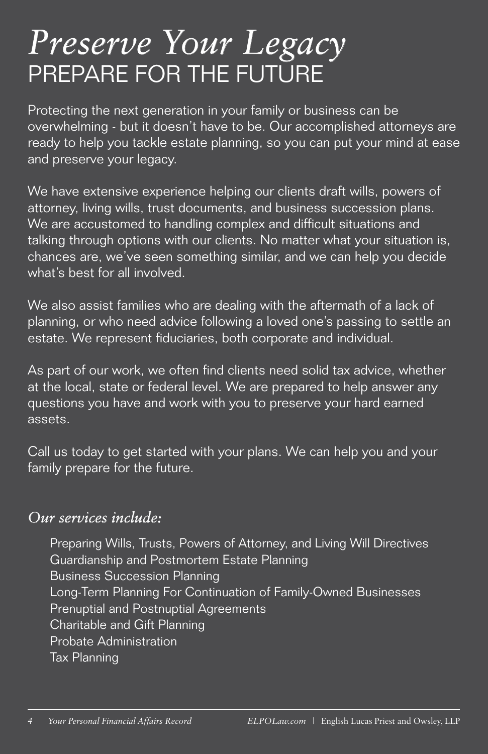# *Preserve Your Legacy* PREPARE FOR THE FUTURE

Protecting the next generation in your family or business can be overwhelming - but it doesn't have to be. Our accomplished attorneys are ready to help you tackle estate planning, so you can put your mind at ease and preserve your legacy.

We have extensive experience helping our clients draft wills, powers of attorney, living wills, trust documents, and business succession plans. We are accustomed to handling complex and difficult situations and talking through options with our clients. No matter what your situation is, chances are, we've seen something similar, and we can help you decide what's best for all involved.

We also assist families who are dealing with the aftermath of a lack of planning, or who need advice following a loved one's passing to settle an estate. We represent fiduciaries, both corporate and individual.

As part of our work, we often find clients need solid tax advice, whether at the local, state or federal level. We are prepared to help answer any questions you have and work with you to preserve your hard earned assets.

Call us today to get started with your plans. We can help you and your family prepare for the future.

### *Our services include:*

Preparing Wills, Trusts, Powers of Attorney, and Living Will Directives Guardianship and Postmortem Estate Planning Business Succession Planning Long-Term Planning For Continuation of Family-Owned Businesses Prenuptial and Postnuptial Agreements Charitable and Gift Planning Probate Administration Tax Planning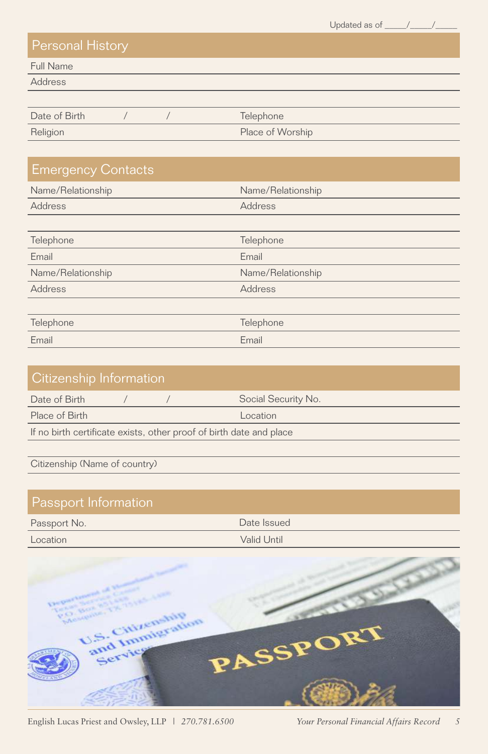Updated as of  $\_\_\_\_\_\_\_\_\_\_\_\_\_\_\_$ 

Full Name

Address

| Date of Birth |  | Telephone        |
|---------------|--|------------------|
| Religion      |  | Place of Worship |

| <b>Emergency Contacts</b> |                   |
|---------------------------|-------------------|
| Name/Relationship         | Name/Relationship |
| Address                   | Address           |
|                           |                   |
| Telephone                 | Telephone         |
| Email                     | Email             |
| Name/Relationship         | Name/Relationship |
| Address                   | Address           |
|                           |                   |
| Telephone                 | Telephone         |
| Email                     | Email             |

| Citizenship Information                                             |  |  |                     |  |
|---------------------------------------------------------------------|--|--|---------------------|--|
| Date of Birth                                                       |  |  | Social Security No. |  |
| Place of Birth                                                      |  |  | Location            |  |
| If no birth certificate exists, other proof of birth date and place |  |  |                     |  |
|                                                                     |  |  |                     |  |

Citizenship (Name of country)

### Passport Information Passport No. 2008 and 2009 and 2009 and 2009 and 2009 and 2009 and 2009 and 2009 and 2009 and 2009 and 2009 and 2009 and 2009 and 2009 and 2009 and 2009 and 2009 and 2009 and 2009 and 2009 and 2009 and 2009 and 2009 and 20 **Location** Valid Until



English Lucas Priest and Owsley, LLP *| 270.781.6500 Your Personal Financial Affairs Record 5*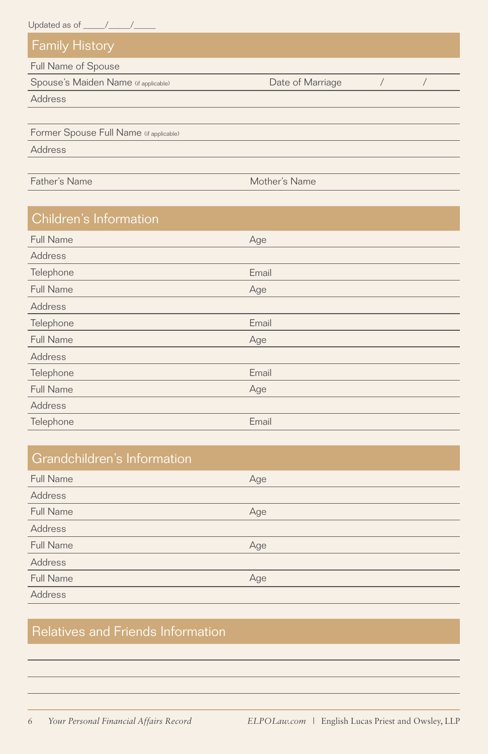| Updated as of $\_\_\_\_\_\_\_\_\_\_\$   |                  |  |
|-----------------------------------------|------------------|--|
| <b>Family History</b>                   |                  |  |
| Full Name of Spouse                     |                  |  |
| Spouse's Maiden Name (if applicable)    | Date of Marriage |  |
| Address                                 |                  |  |
|                                         |                  |  |
| Former Spouse Full Name (if applicable) |                  |  |
| Address                                 |                  |  |
|                                         |                  |  |
| Father's Name                           | Mother's Name    |  |
|                                         |                  |  |

| Children's Information |       |
|------------------------|-------|
| Full Name              | Age   |
| Address                |       |
| Telephone              | Email |
| Full Name              | Age   |
| Address                |       |
| Telephone              | Email |
| Full Name              | Age   |
| Address                |       |
| Telephone              | Email |
| <b>Full Name</b>       | Age   |
| Address                |       |
| Telephone              | Email |

| Grandchildren's Information |     |
|-----------------------------|-----|
| <b>Full Name</b>            | Age |
| Address                     |     |
| Full Name                   | Age |
| Address                     |     |
| Full Name                   | Age |
| Address                     |     |
| Full Name                   | Age |
| Address                     |     |

## Relatives and Friends Information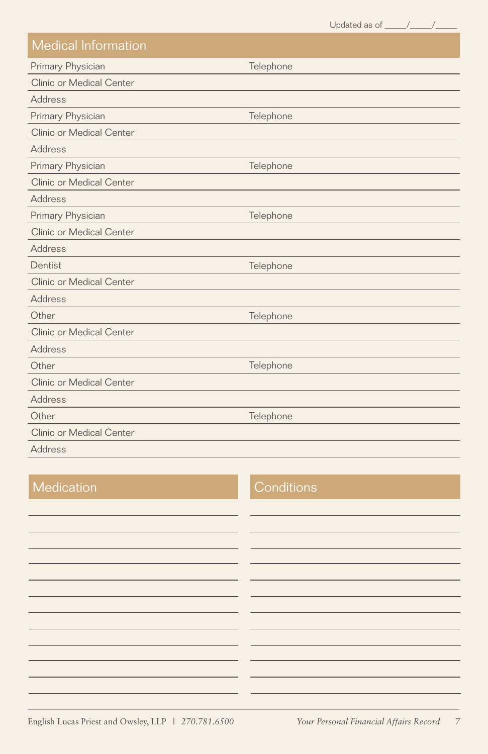Updated as of  $\frac{1}{\sqrt{2\pi}}$ Primary Physician Medical Information Address **Telephone** Clinic or Medical Center Primary Physician Address Telephone Clinic or Medical Center Primary Physician Address **Telephone** Clinic or Medical Center Primary Physician Address **Telephone** Clinic or Medical Center Dentist Address Telephone Clinic or Medical Center **Other** Address **Telephone** Clinic or Medical Center **Other** Address Clinic or Medical Center **Other** Address Clinic or Medical Center Telephone **Telephone** 

#### Medication Conditions

English Lucas Priest and Owsley, LLP *| 270.781.6500 Your Personal Financial Affairs Record 7*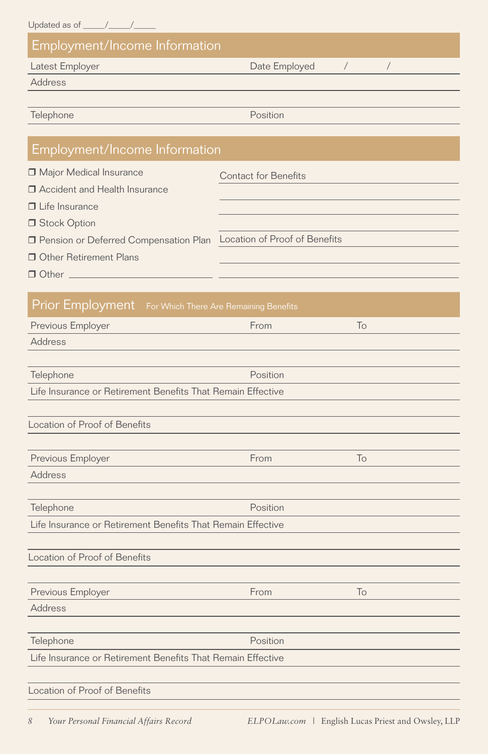| Employment/Income Information                           |                               |
|---------------------------------------------------------|-------------------------------|
| Latest Employer                                         | Date Employed                 |
| Address                                                 |                               |
|                                                         |                               |
| Telephone                                               | Position                      |
| Employment/Income Information                           |                               |
| Major Medical Insurance                                 | <b>Contact for Benefits</b>   |
| □ Accident and Health Insurance                         |                               |
| $\Box$ Life Insurance                                   |                               |
| Stock Option                                            |                               |
| □ Pension or Deferred Compensation Plan                 | Location of Proof of Benefits |
| <b>Other Retirement Plans</b>                           |                               |
|                                                         |                               |
| Prior Employment For Which There Are Remaining Benefits |                               |
| Previous Employer                                       | From<br>To                    |
| Address                                                 |                               |
|                                                         |                               |

| Telephone                                                   | Position |  |
|-------------------------------------------------------------|----------|--|
| Life Insurance or Retirement Benefits That Remain Effective |          |  |
|                                                             |          |  |

| Location of Proof of Benefits |      |        |  |
|-------------------------------|------|--------|--|
|                               |      |        |  |
| Previous Employer             | From | $\cap$ |  |
| <b>Address</b>                |      |        |  |

| Telephone                                                   | Position |    |  |
|-------------------------------------------------------------|----------|----|--|
| Life Insurance or Retirement Benefits That Remain Effective |          |    |  |
|                                                             |          |    |  |
| Location of Proof of Benefits                               |          |    |  |
|                                                             |          |    |  |
| Previous Employer                                           | From     | To |  |
| Address                                                     |          |    |  |
|                                                             |          |    |  |
| Telephone                                                   | Position |    |  |
| Life Insurance or Retirement Benefits That Remain Effective |          |    |  |
|                                                             |          |    |  |

Location of Proof of Benefits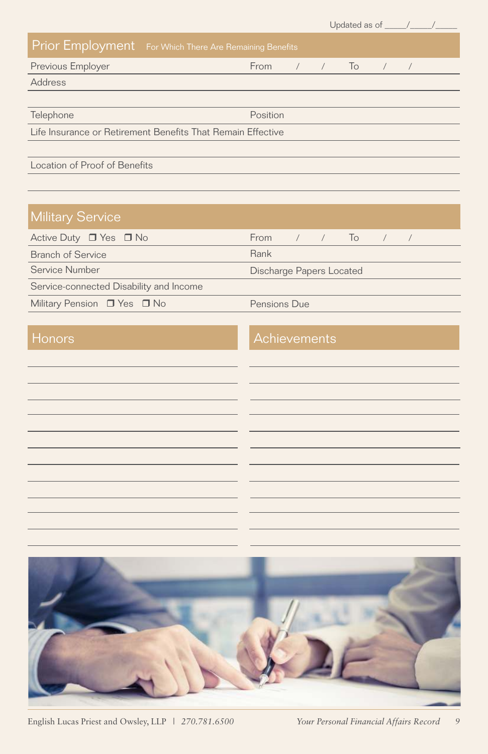|                                                             |                 |  |  | Updated as of $\frac{\sqrt{2}}{2}$ |  |  |
|-------------------------------------------------------------|-----------------|--|--|------------------------------------|--|--|
| Prior Employment For Which There Are Remaining Benefits     |                 |  |  |                                    |  |  |
| Previous Employer                                           | From / / To / / |  |  |                                    |  |  |
| Address                                                     |                 |  |  |                                    |  |  |
|                                                             |                 |  |  |                                    |  |  |
| Telephone                                                   | Position        |  |  |                                    |  |  |
| Life Insurance or Retirement Benefits That Remain Effective |                 |  |  |                                    |  |  |
|                                                             |                 |  |  |                                    |  |  |
| Location of Proof of Benefits                               |                 |  |  |                                    |  |  |
|                                                             |                 |  |  |                                    |  |  |

## Military Service

| Active Duty $\Box$ Yes $\Box$ No        | From $/$ $/$ To $/$ $/$  |  |  |  |  |
|-----------------------------------------|--------------------------|--|--|--|--|
| <b>Branch of Service</b>                | Rank                     |  |  |  |  |
| Service Number                          | Discharge Papers Located |  |  |  |  |
| Service-connected Disability and Income |                          |  |  |  |  |
| Military Pension □ Yes □ No             | Pensions Due             |  |  |  |  |

#### Honors **Achievements**



English Lucas Priest and Owsley, LLP *| 270.781.6500 Your Personal Financial Affairs Record 9*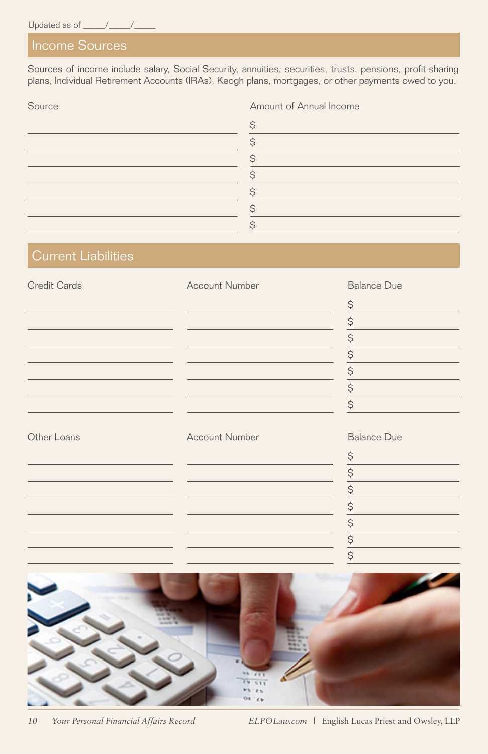Sources of income include salary, Social Security, annuities, securities, trusts, pensions, profit-sharing plans, Individual Retirement Accounts (IRAs), Keogh plans, mortgages, or other payments owed to you.

| Source | Amount of Annual Income |
|--------|-------------------------|
|        |                         |
|        |                         |
|        |                         |
|        |                         |
|        |                         |
|        |                         |
|        |                         |
|        |                         |

#### Current Liabilities

| <b>Credit Cards</b> | <b>Account Number</b> | <b>Balance Due</b>             |
|---------------------|-----------------------|--------------------------------|
|                     |                       | $\frac{S}{\sqrt{2}}$           |
|                     |                       | $\boldsymbol{\dot{\varsigma}}$ |
|                     |                       | $\hat{\mathcal{S}}$            |
|                     |                       | $\boldsymbol{\dot{\varsigma}}$ |
|                     |                       | $\boldsymbol{\zeta}$           |
|                     |                       | $rac{5}{5}$                    |
|                     |                       |                                |
| Other Loans         | <b>Account Number</b> | <b>Balance Due</b>             |
|                     |                       | $\frac{S}{\sqrt{2}}$           |
|                     |                       | $\frac{S}{I}$                  |
|                     |                       | $\frac{1}{2}$                  |
|                     |                       | $\overline{\xi}$               |
|                     |                       | $\boldsymbol{\mathsf{S}}$      |
|                     |                       | $\frac{S}{I}$                  |
|                     |                       | $\overline{\xi}$               |

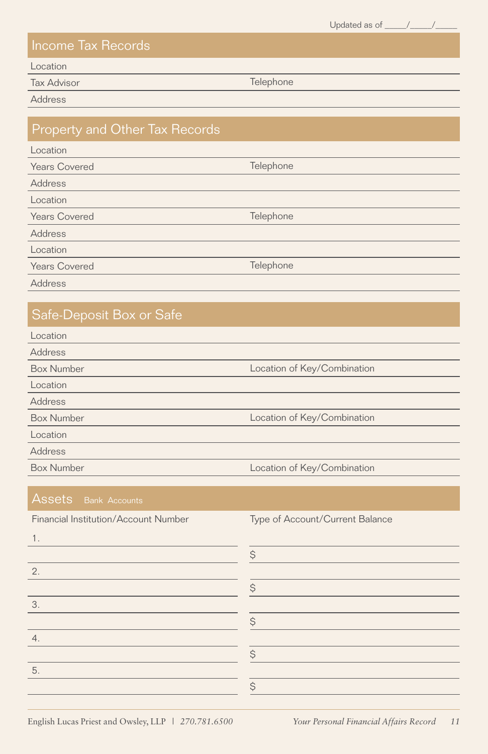Updated as of  $\frac{1}{\sqrt{2\pi}}$ 

#### Income Tax Records

Location

**Tax Advisor** Telephone

Address

#### Property and Other Tax Records

| Location      |
|---------------|
| Years Covered |
| Address       |

| Location      |           |
|---------------|-----------|
| Years Covered | Telephone |

Address

Location

**Years Covered Telephone** 

Address

### Safe-Deposit Box or Safe

| Location          |                             |
|-------------------|-----------------------------|
| Address           |                             |
| <b>Box Number</b> | Location of Key/Combination |
| Location          |                             |
| Address           |                             |
| <b>Box Number</b> | Location of Key/Combination |
| Location          |                             |
| Address           |                             |
| <b>Box Number</b> | Location of Key/Combination |
|                   |                             |

Telephone

Financial Institution/Account Number Type of Account/Current Balance 1.  $\ddot{\varsigma}$ 2.  $\varsigma$ 3.  $\varsigma$ 4. \$ 5.  $\varsigma$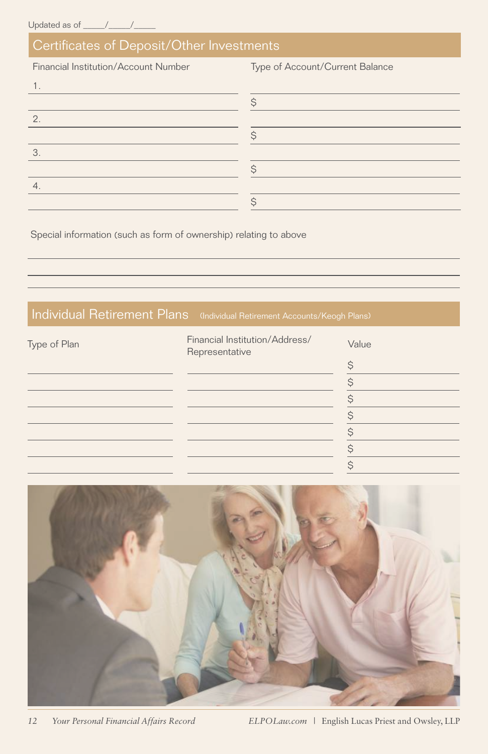### Certificates of Deposit/Other Investments

Financial Institution/Account Number Type of Account/Current Balance

|    | ⌒ |
|----|---|
| 2. |   |
|    |   |
| 3. |   |
|    |   |
| 4. |   |
|    |   |
|    |   |

Special information (such as form of ownership) relating to above

### Individual Retirement Plans (Individual Retirement Accounts/Keogh Plans)

| Type of Plan | Financial Institution/Address/<br>Representative | Value |
|--------------|--------------------------------------------------|-------|
|              |                                                  |       |
|              |                                                  |       |
|              |                                                  |       |
|              |                                                  |       |
|              |                                                  |       |
|              |                                                  |       |
|              |                                                  |       |

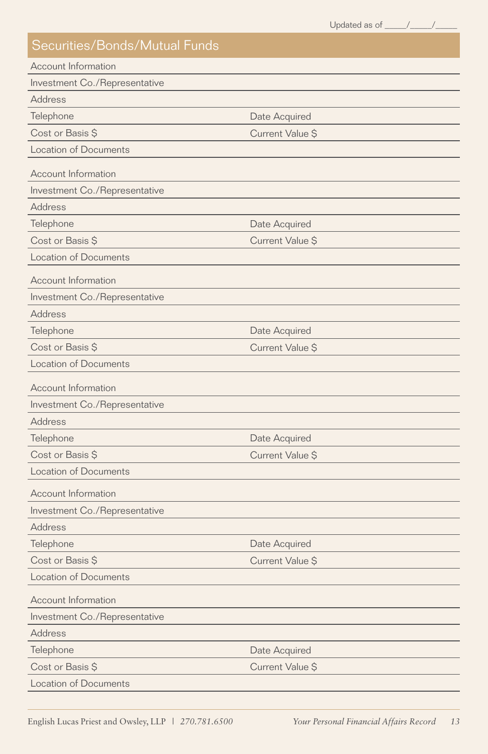|                               | Updated as of _____/____/_ |  |
|-------------------------------|----------------------------|--|
| Securities/Bonds/Mutual Funds |                            |  |
| <b>Account Information</b>    |                            |  |
| Investment Co./Representative |                            |  |
| Address                       |                            |  |
| Telephone                     | Date Acquired              |  |
| Cost or Basis \$              | Current Value \$           |  |
| <b>Location of Documents</b>  |                            |  |
| Account Information           |                            |  |
| Investment Co./Representative |                            |  |
| Address                       |                            |  |
| Telephone                     | Date Acquired              |  |
| Cost or Basis \$              | Current Value \$           |  |
| <b>Location of Documents</b>  |                            |  |
| Account Information           |                            |  |
| Investment Co./Representative |                            |  |
| Address                       |                            |  |
| Telephone                     | Date Acquired              |  |
| Cost or Basis \$              | Current Value \$           |  |
| <b>Location of Documents</b>  |                            |  |
| Account Information           |                            |  |
| Investment Co./Representative |                            |  |
| <b>Address</b>                |                            |  |
| Telephone                     | Date Acquired              |  |
| Cost or Basis \$              | Current Value \$           |  |
| <b>Location of Documents</b>  |                            |  |
| Account Information           |                            |  |
| Investment Co./Representative |                            |  |
| Address                       |                            |  |
| Telephone                     | Date Acquired              |  |
| Cost or Basis \$              | Current Value S            |  |
| <b>Location of Documents</b>  |                            |  |
| Account Information           |                            |  |
| Investment Co./Representative |                            |  |
| Address                       |                            |  |
| Telephone                     | Date Acquired              |  |
| Cost or Basis \$              | Current Value \$           |  |
| <b>Location of Documents</b>  |                            |  |
|                               |                            |  |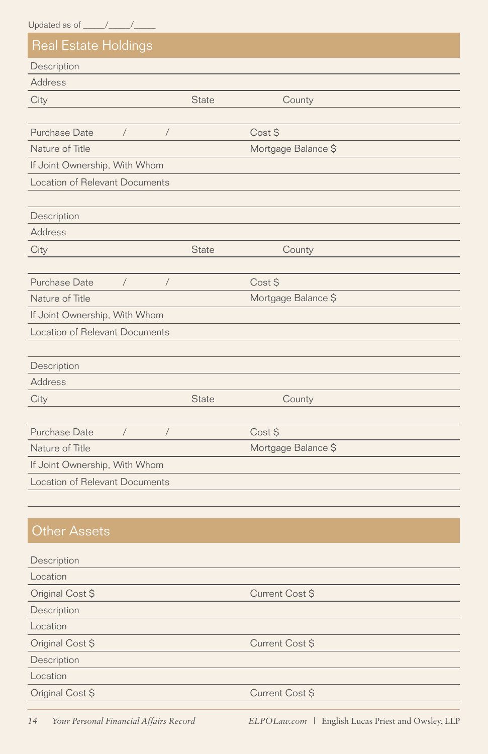| <b>Real Estate Holdings</b>           |                |                     |  |
|---------------------------------------|----------------|---------------------|--|
| Description                           |                |                     |  |
| Address                               |                |                     |  |
| City                                  | State          | County              |  |
|                                       |                |                     |  |
| Purchase Date<br>$\sqrt{2}$           | $\sqrt{2}$     | Cost \$             |  |
| Nature of Title                       |                | Mortgage Balance \$ |  |
| If Joint Ownership, With Whom         |                |                     |  |
| Location of Relevant Documents        |                |                     |  |
|                                       |                |                     |  |
| Description                           |                |                     |  |
| <b>Address</b>                        |                |                     |  |
| City                                  | <b>State</b>   | County              |  |
|                                       |                |                     |  |
| Purchase Date<br>$\sqrt{2}$           | $\sqrt{2}$     | Cost \$             |  |
| Nature of Title                       |                | Mortgage Balance \$ |  |
| If Joint Ownership, With Whom         |                |                     |  |
| <b>Location of Relevant Documents</b> |                |                     |  |
|                                       |                |                     |  |
| Description                           |                |                     |  |
| <b>Address</b>                        |                |                     |  |
| City                                  | State          | County              |  |
|                                       |                |                     |  |
| <b>Purchase Date</b><br>$\sqrt{2}$    | $\overline{1}$ | Cost \$             |  |
| Nature of Title                       |                | Mortgage Balance \$ |  |
| If Joint Ownership, With Whom         |                |                     |  |
| <b>Location of Relevant Documents</b> |                |                     |  |
|                                       |                |                     |  |
|                                       |                |                     |  |
| <b>Other Assets</b>                   |                |                     |  |
| Description                           |                |                     |  |
| Location                              |                |                     |  |
| Original Cost \$                      |                | Current Cost \$     |  |
| Description                           |                |                     |  |
| Location                              |                |                     |  |
| Original Cost \$                      |                | Current Cost \$     |  |
| Description                           |                |                     |  |
| Location                              |                |                     |  |
| Original Cost \$                      |                | Current Cost \$     |  |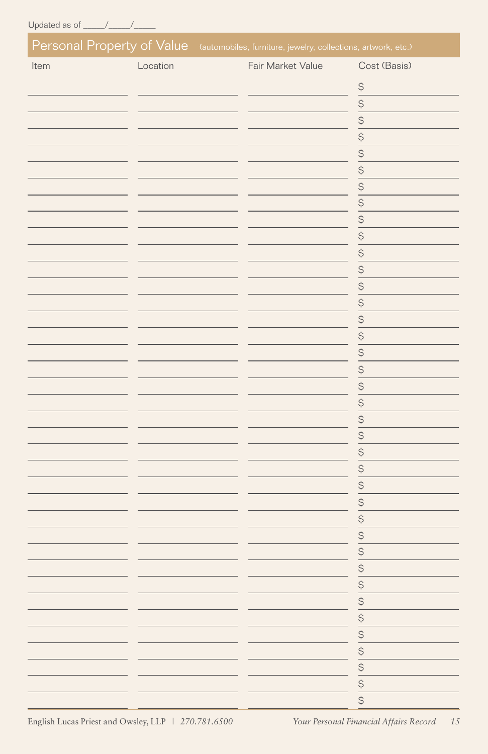| Fair Market Value<br>Location<br>Cost (Basis)<br>Item<br>$\frac{5}{9}$<br>$\frac{5}{9}$<br>$rac{5}{5}$<br>$\frac{5}{9}$<br>$rac{5}{9}$<br>$\frac{1}{3}$<br>$S - S - S$<br>$\ddot{\varsigma}$<br>$\overline{\xi}$<br>0   0   0   0   0   0   0 | Personal Property of Value (automobiles, furniture, jewelry, collections, artwork, etc.) |  |
|-----------------------------------------------------------------------------------------------------------------------------------------------------------------------------------------------------------------------------------------------|------------------------------------------------------------------------------------------|--|
|                                                                                                                                                                                                                                               |                                                                                          |  |
|                                                                                                                                                                                                                                               |                                                                                          |  |
|                                                                                                                                                                                                                                               |                                                                                          |  |
|                                                                                                                                                                                                                                               |                                                                                          |  |
|                                                                                                                                                                                                                                               |                                                                                          |  |
|                                                                                                                                                                                                                                               |                                                                                          |  |
|                                                                                                                                                                                                                                               |                                                                                          |  |
|                                                                                                                                                                                                                                               |                                                                                          |  |
|                                                                                                                                                                                                                                               |                                                                                          |  |
|                                                                                                                                                                                                                                               |                                                                                          |  |
|                                                                                                                                                                                                                                               |                                                                                          |  |
|                                                                                                                                                                                                                                               |                                                                                          |  |
|                                                                                                                                                                                                                                               |                                                                                          |  |
|                                                                                                                                                                                                                                               |                                                                                          |  |
|                                                                                                                                                                                                                                               |                                                                                          |  |
|                                                                                                                                                                                                                                               |                                                                                          |  |
|                                                                                                                                                                                                                                               |                                                                                          |  |
|                                                                                                                                                                                                                                               |                                                                                          |  |
|                                                                                                                                                                                                                                               |                                                                                          |  |
|                                                                                                                                                                                                                                               |                                                                                          |  |
|                                                                                                                                                                                                                                               |                                                                                          |  |
|                                                                                                                                                                                                                                               |                                                                                          |  |
|                                                                                                                                                                                                                                               |                                                                                          |  |
|                                                                                                                                                                                                                                               |                                                                                          |  |
|                                                                                                                                                                                                                                               |                                                                                          |  |
|                                                                                                                                                                                                                                               |                                                                                          |  |
|                                                                                                                                                                                                                                               |                                                                                          |  |
|                                                                                                                                                                                                                                               |                                                                                          |  |
|                                                                                                                                                                                                                                               |                                                                                          |  |
|                                                                                                                                                                                                                                               |                                                                                          |  |
|                                                                                                                                                                                                                                               |                                                                                          |  |
|                                                                                                                                                                                                                                               |                                                                                          |  |
|                                                                                                                                                                                                                                               |                                                                                          |  |
|                                                                                                                                                                                                                                               |                                                                                          |  |
|                                                                                                                                                                                                                                               |                                                                                          |  |
|                                                                                                                                                                                                                                               |                                                                                          |  |
|                                                                                                                                                                                                                                               |                                                                                          |  |
|                                                                                                                                                                                                                                               |                                                                                          |  |
|                                                                                                                                                                                                                                               |                                                                                          |  |

English Lucas Priest and Owsley, LLP *| 270.781.6500 Your Personal Financial Affairs Record 15*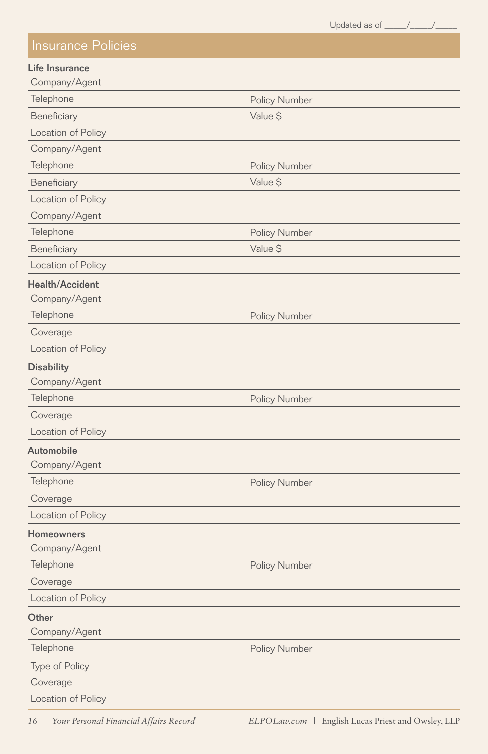Updated as of  $\frac{\sqrt{2}}{2}$ 

#### Insurance Policies

#### Life Insurance

| Company/Agent             |                      |
|---------------------------|----------------------|
| Telephone                 | Policy Number        |
| Beneficiary               | Value \$             |
| Location of Policy        |                      |
| Company/Agent             |                      |
| Telephone                 | <b>Policy Number</b> |
| Beneficiary               | Value \$             |
| Location of Policy        |                      |
| Company/Agent             |                      |
| Telephone                 | Policy Number        |
| Beneficiary               | Value \$             |
| Location of Policy        |                      |
| <b>Health/Accident</b>    |                      |
| Company/Agent             |                      |
| Telephone                 | Policy Number        |
| Coverage                  |                      |
| Location of Policy        |                      |
| <b>Disability</b>         |                      |
| Company/Agent             |                      |
| Telephone                 | Policy Number        |
| Coverage                  |                      |
| <b>Location of Policy</b> |                      |
| <b>Automobile</b>         |                      |
| Company/Agent             |                      |
| Telephone                 | Policy Number        |
| Coverage                  |                      |
| Location of Policy        |                      |
| Homeowners                |                      |
| Company/Agent             |                      |
| Telephone                 | Policy Number        |
| Coverage                  |                      |
| Location of Policy        |                      |
| Other                     |                      |
| Company/Agent             |                      |
| Telephone                 | Policy Number        |
| Type of Policy            |                      |
| Coverage                  |                      |
| Location of Policy        |                      |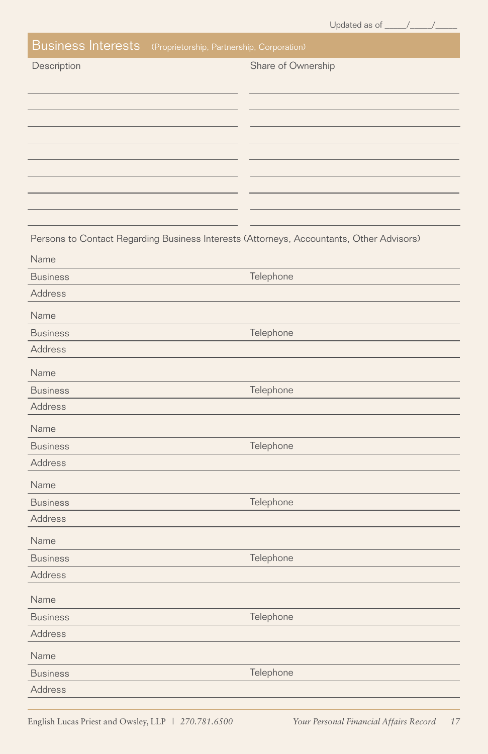|  |  | Jpdated as of |  |
|--|--|---------------|--|
|  |  |               |  |
|  |  |               |  |

| <b>Business Interests</b><br>(Proprietorship, Partnership, Corporation)                  |                    |
|------------------------------------------------------------------------------------------|--------------------|
| Description                                                                              | Share of Ownership |
|                                                                                          |                    |
|                                                                                          |                    |
|                                                                                          |                    |
|                                                                                          |                    |
|                                                                                          |                    |
|                                                                                          |                    |
|                                                                                          |                    |
|                                                                                          |                    |
|                                                                                          |                    |
| Persons to Contact Regarding Business Interests (Attorneys, Accountants, Other Advisors) |                    |
| Name                                                                                     |                    |
| <b>Business</b>                                                                          | Telephone          |
| Address                                                                                  |                    |
| Name                                                                                     |                    |
| <b>Business</b>                                                                          | Telephone          |
| Address                                                                                  |                    |
| Name                                                                                     |                    |
| <b>Business</b>                                                                          | Telephone          |
| Address                                                                                  |                    |
| Name                                                                                     |                    |
| <b>Business</b>                                                                          | Telephone          |
| Address                                                                                  |                    |
| Name                                                                                     |                    |
| <b>Business</b>                                                                          | Telephone          |
| Address                                                                                  |                    |
| Name                                                                                     |                    |
| <b>Business</b>                                                                          | Telephone          |
| Address                                                                                  |                    |
| Name                                                                                     |                    |
| <b>Business</b>                                                                          | Telephone          |
| Address                                                                                  |                    |
|                                                                                          |                    |
| Name                                                                                     | Telephone          |
| <b>Business</b>                                                                          |                    |
| Address                                                                                  |                    |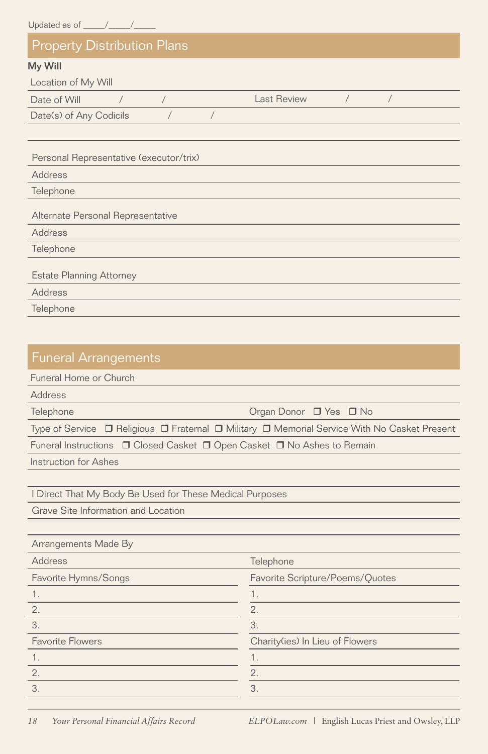| <b>Property Distribution Plans</b>      |             |
|-----------------------------------------|-------------|
| My Will                                 |             |
| Location of My Will                     |             |
| Date of Will<br>$\sqrt{2}$              | Last Review |
| Date(s) of Any Codicils                 |             |
|                                         |             |
| Personal Representative (executor/trix) |             |
| Address                                 |             |
| Telephone                               |             |
| Alternate Personal Representative       |             |
| Address                                 |             |
| Telephone                               |             |
| <b>Estate Planning Attorney</b>         |             |
| Address                                 |             |
| Telephone                               |             |

| <b>Funeral Arrangements</b>                                                                                      |
|------------------------------------------------------------------------------------------------------------------|
| Funeral Home or Church                                                                                           |
| Address                                                                                                          |
| Telephone<br>Organ Donor $\Box$ Yes $\Box$ No                                                                    |
| Type of Service $\Box$ Religious $\Box$ Fraternal $\Box$ Military $\Box$ Memorial Service With No Casket Present |
| Funeral Instructions □ Closed Casket □ Open Casket □ No Ashes to Remain                                          |
| Instruction for Ashes                                                                                            |
|                                                                                                                  |

I Direct That My Body Be Used for These Medical Purposes

Grave Site Information and Location

| Arrangements Made By    |                                 |
|-------------------------|---------------------------------|
| Address                 | Telephone                       |
| Favorite Hymns/Songs    | Favorite Scripture/Poems/Quotes |
|                         |                                 |
| 2.                      | 2.                              |
| 3                       | 3.                              |
| <b>Favorite Flowers</b> | Charity(ies) In Lieu of Flowers |
|                         |                                 |
| 2.                      | 2.                              |
| 3                       | 3.                              |
|                         |                                 |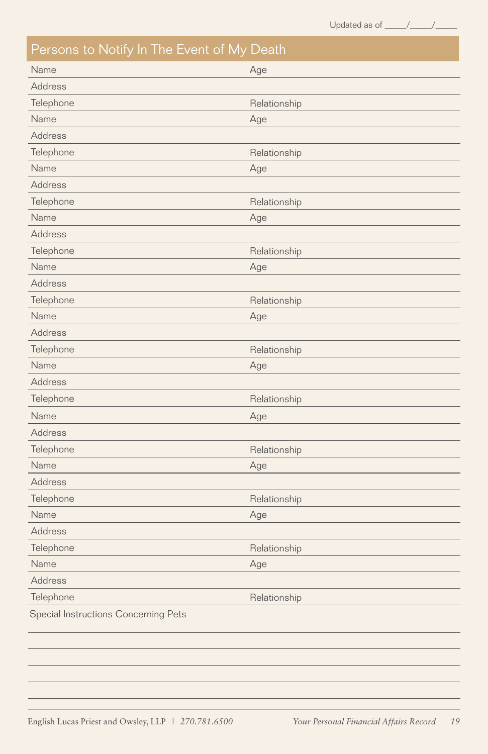| Persons to Notify In The Event of My Death |              |
|--------------------------------------------|--------------|
| Name                                       | Age          |
| <b>Address</b>                             |              |
| Telephone                                  | Relationship |
| Name                                       | Age          |
| <b>Address</b>                             |              |
| Telephone                                  | Relationship |
| Name                                       | Age          |
| <b>Address</b>                             |              |
| Telephone                                  | Relationship |
| Name                                       | Age          |
| <b>Address</b>                             |              |
| Telephone                                  | Relationship |
| Name                                       | Age          |
| Address                                    |              |
| Telephone                                  | Relationship |
| Name                                       | Age          |
| <b>Address</b>                             |              |
| Telephone                                  | Relationship |
| Name                                       | Age          |
| <b>Address</b>                             |              |
| Telephone                                  | Relationship |
| Name                                       | Age          |
| <b>Address</b>                             |              |
| Telephone                                  | Relationship |
| Name                                       | Age          |
| <b>Address</b>                             |              |
| Telephone                                  | Relationship |
| Name                                       | Age          |
| <b>Address</b>                             |              |
| Telephone                                  | Relationship |
| Name                                       | Age          |
| <b>Address</b>                             |              |
| Telephone                                  | Relationship |
| Special Instructions Concerning Pets       |              |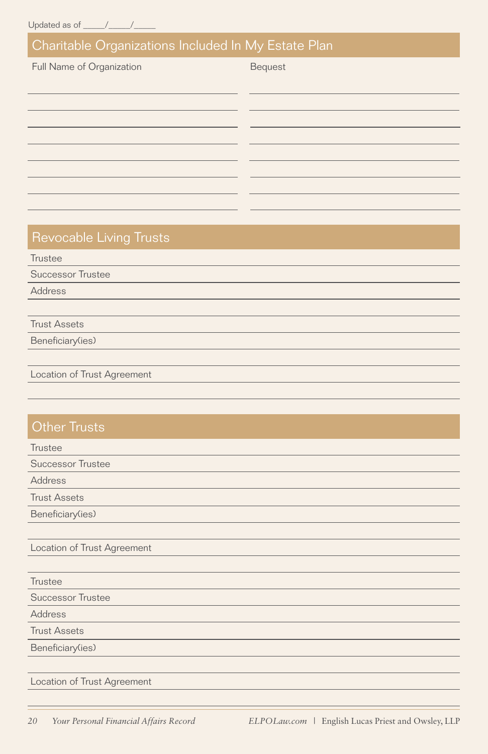#### Charitable Organizations Included In My Estate Plan

Full Name of Organization Bequest

#### Revocable Living Trusts

**Trustee** 

Successor Trustee

Address

Trust Assets

Beneficiary(ies)

Location of Trust Agreement

#### **Other Trusts**

**Trustee** Successor Trustee Trust Assets Beneficiary(ies) Location of Trust Agreement Address

**Trustee** Successor Trustee Address

Trust Assets

Beneficiary(ies)

Location of Trust Agreement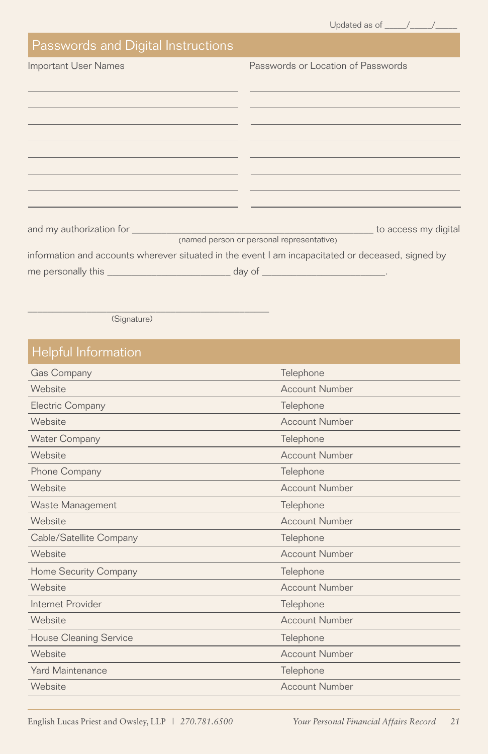| Updated as of |  |
|---------------|--|
|               |  |

#### Passwords and Digital Instructions

| Important User Names |  |  |
|----------------------|--|--|
|----------------------|--|--|

Passwords or Location of Passwords

|                    | <b>Example 2016</b> to access my digital                                                          |
|--------------------|---------------------------------------------------------------------------------------------------|
|                    | (named person or personal representative)                                                         |
|                    | information and accounts wherever situated in the event I am incapacitated or deceased, signed by |
| me personally this | $\Box$ day of $\Box$                                                                              |

(Signature)

\_\_\_\_\_\_\_\_\_\_\_\_\_\_\_\_\_\_\_\_\_\_\_\_\_\_\_\_\_\_\_\_\_\_\_\_\_\_\_\_\_\_\_\_\_\_\_\_\_

#### Helpful Information

| Gas Company                   | Telephone             |
|-------------------------------|-----------------------|
| Website                       | <b>Account Number</b> |
| Electric Company              | Telephone             |
| Website                       | <b>Account Number</b> |
| <b>Water Company</b>          | Telephone             |
| Website                       | <b>Account Number</b> |
| Phone Company                 | Telephone             |
| Website                       | <b>Account Number</b> |
| Waste Management              | Telephone             |
| Website                       | <b>Account Number</b> |
| Cable/Satellite Company       | Telephone             |
| Website                       | <b>Account Number</b> |
| Home Security Company         | Telephone             |
| Website                       | <b>Account Number</b> |
| Internet Provider             | Telephone             |
| Website                       | <b>Account Number</b> |
| <b>House Cleaning Service</b> | Telephone             |
| Website                       | <b>Account Number</b> |
| <b>Yard Maintenance</b>       | Telephone             |
| Website                       | <b>Account Number</b> |
|                               |                       |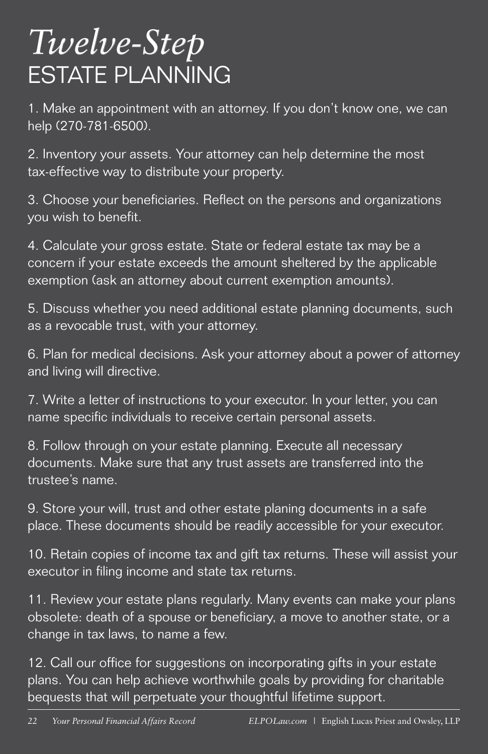# *Twelve-Step* ESTATE PLANNING

1. Make an appointment with an attorney. If you don't know one, we can help (270-781-6500).

2. Inventory your assets. Your attorney can help determine the most tax-effective way to distribute your property.

3. Choose your beneficiaries. Reflect on the persons and organizations you wish to benefit.

4. Calculate your gross estate. State or federal estate tax may be a concern if your estate exceeds the amount sheltered by the applicable exemption (ask an attorney about current exemption amounts).

5. Discuss whether you need additional estate planning documents, such as a revocable trust, with your attorney.

6. Plan for medical decisions. Ask your attorney about a power of attorney and living will directive.

7. Write a letter of instructions to your executor. In your letter, you can name specific individuals to receive certain personal assets.

8. Follow through on your estate planning. Execute all necessary documents. Make sure that any trust assets are transferred into the trustee's name.

9. Store your will, trust and other estate planing documents in a safe place. These documents should be readily accessible for your executor.

10. Retain copies of income tax and gift tax returns. These will assist your executor in filing income and state tax returns.

11. Review your estate plans regularly. Many events can make your plans obsolete: death of a spouse or beneficiary, a move to another state, or a change in tax laws, to name a few.

12. Call our office for suggestions on incorporating gifts in your estate plans. You can help achieve worthwhile goals by providing for charitable bequests that will perpetuate your thoughtful lifetime support.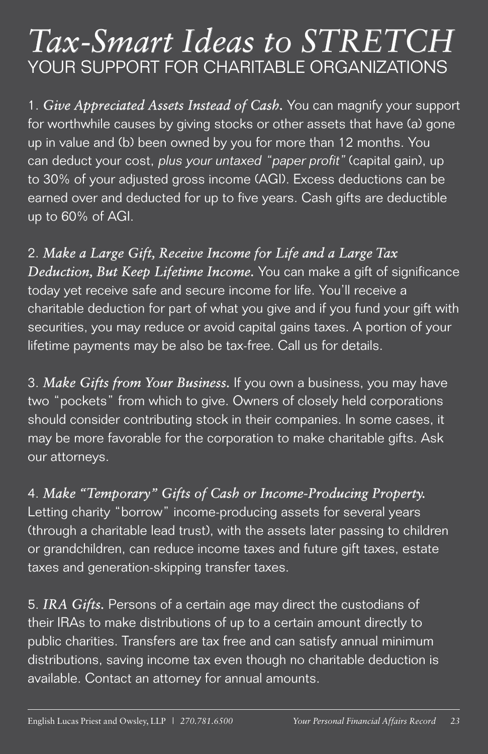## *Tax-Smart Ideas to STRETCH* YOUR SUPPORT FOR CHARITABLE ORGANIZATIONS

1. *Give Appreciated Assets Instead of Cash.* You can magnify your support for worthwhile causes by giving stocks or other assets that have (a) gone up in value and (b) been owned by you for more than 12 months. You can deduct your cost, plus your untaxed "paper profit" (capital gain), up to 30% of your adjusted gross income (AGI). Excess deductions can be earned over and deducted for up to five years. Cash gifts are deductible up to 60% of AGI.

2. *Make a Large Gift, Receive Income for Life and a Large Tax Deduction, But Keep Lifetime Income.* You can make a gift of significance today yet receive safe and secure income for life. You'll receive a charitable deduction for part of what you give and if you fund your gift with securities, you may reduce or avoid capital gains taxes. A portion of your lifetime payments may be also be tax-free. Call us for details.

3. *Make Gifts from Your Business.* If you own a business, you may have two "pockets" from which to give. Owners of closely held corporations should consider contributing stock in their companies. In some cases, it may be more favorable for the corporation to make charitable gifts. Ask our attorneys.

4. *Make "Temporary" Gifts of Cash or Income-Producing Property.* 

Letting charity "borrow" income-producing assets for several years (through a charitable lead trust), with the assets later passing to children or grandchildren, can reduce income taxes and future gift taxes, estate taxes and generation-skipping transfer taxes.

5. *IRA Gifts.* Persons of a certain age may direct the custodians of their IRAs to make distributions of up to a certain amount directly to public charities. Transfers are tax free and can satisfy annual minimum distributions, saving income tax even though no charitable deduction is available. Contact an attorney for annual amounts.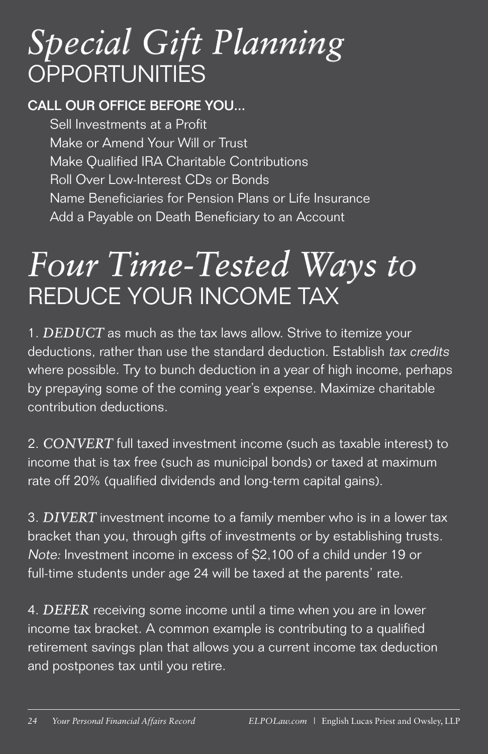# *Special Gift Planning*  **OPPORTUNITIES**

#### CALL OUR OFFICE BEFORE YOU...

Sell Investments at a Profit Make or Amend Your Will or Trust Make Qualified IRA Charitable Contributions Roll Over Low-Interest CDs or Bonds Name Beneficiaries for Pension Plans or Life Insurance Add a Payable on Death Beneficiary to an Account

# *Four Time-Tested Ways to* REDUCE YOUR INCOME TAX

1. *DEDUCT* as much as the tax laws allow. Strive to itemize your deductions, rather than use the standard deduction. Establish tax credits where possible. Try to bunch deduction in a year of high income, perhaps by prepaying some of the coming year's expense. Maximize charitable contribution deductions.

2. *CONVERT* full taxed investment income (such as taxable interest) to income that is tax free (such as municipal bonds) or taxed at maximum rate off 20% (qualified dividends and long-term capital gains).

3. *DIVERT* investment income to a family member who is in a lower tax bracket than you, through gifts of investments or by establishing trusts. Note: Investment income in excess of \$2,100 of a child under 19 or full-time students under age 24 will be taxed at the parents' rate.

4. *DEFER* receiving some income until a time when you are in lower income tax bracket. A common example is contributing to a qualified retirement savings plan that allows you a current income tax deduction and postpones tax until you retire.